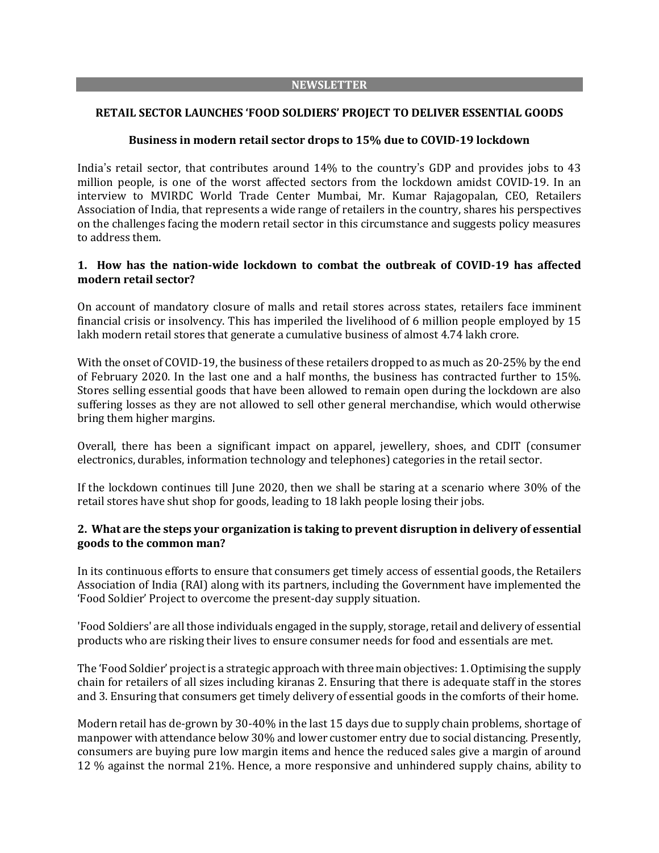#### **NEWSLETTER**

#### **RETAIL SECTOR LAUNCHES 'FOOD SOLDIERS' PROJECT TO DELIVER ESSENTIAL GOODS**

#### **Business in modern retail sector drops to 15% due to COVID-19 lockdown**

India's retail sector, that contributes around 14% to the country's GDP and provides jobs to 43 million people, is one of the worst affected sectors from the lockdown amidst COVID-19. In an interview to MVIRDC World Trade Center Mumbai, Mr. Kumar Rajagopalan, CEO, Retailers Association of India, that represents a wide range of retailers in the country, shares his perspectives on the challenges facing the modern retail sector in this circumstance and suggests policy measures to address them.

## **1. How has the nation-wide lockdown to combat the outbreak of COVID-19 has affected modern retail sector?**

On account of mandatory closure of malls and retail stores across states, retailers face imminent financial crisis or insolvency. This has imperiled the livelihood of 6 million people employed by 15 lakh modern retail stores that generate a cumulative business of almost 4.74 lakh crore.

With the onset of COVID-19, the business of these retailers dropped to as much as 20-25% by the end of February 2020. In the last one and a half months, the business has contracted further to 15%. Stores selling essential goods that have been allowed to remain open during the lockdown are also suffering losses as they are not allowed to sell other general merchandise, which would otherwise bring them higher margins.

Overall, there has been a significant impact on apparel, jewellery, shoes, and CDIT (consumer electronics, durables, information technology and telephones) categories in the retail sector.

If the lockdown continues till June 2020, then we shall be staring at a scenario where 30% of the retail stores have shut shop for goods, leading to 18 lakh people losing their jobs.

## **2. What are the steps your organization is taking to prevent disruption in delivery of essential goods to the common man?**

In its continuous efforts to ensure that consumers get timely access of essential goods, the Retailers Association of India (RAI) along with its partners, including the Government have implemented the 'Food Soldier' Project to overcome the present-day supply situation.

'Food Soldiers' are all those individuals engaged in the supply, storage, retail and delivery of essential products who are risking their lives to ensure consumer needs for food and essentials are met.

The 'Food Soldier' projectis a strategic approach with three main objectives: 1. Optimising the supply chain for retailers of all sizes including kiranas 2. Ensuring that there is adequate staff in the stores and 3. Ensuring that consumers get timely delivery of essential goods in the comforts of their home.

Modern retail has de-grown by 30-40% in the last 15 days due to supply chain problems, shortage of manpower with attendance below 30% and lower customer entry due to social distancing. Presently, consumers are buying pure low margin items and hence the reduced sales give a margin of around 12 % against the normal 21%. Hence, a more responsive and unhindered supply chains, ability to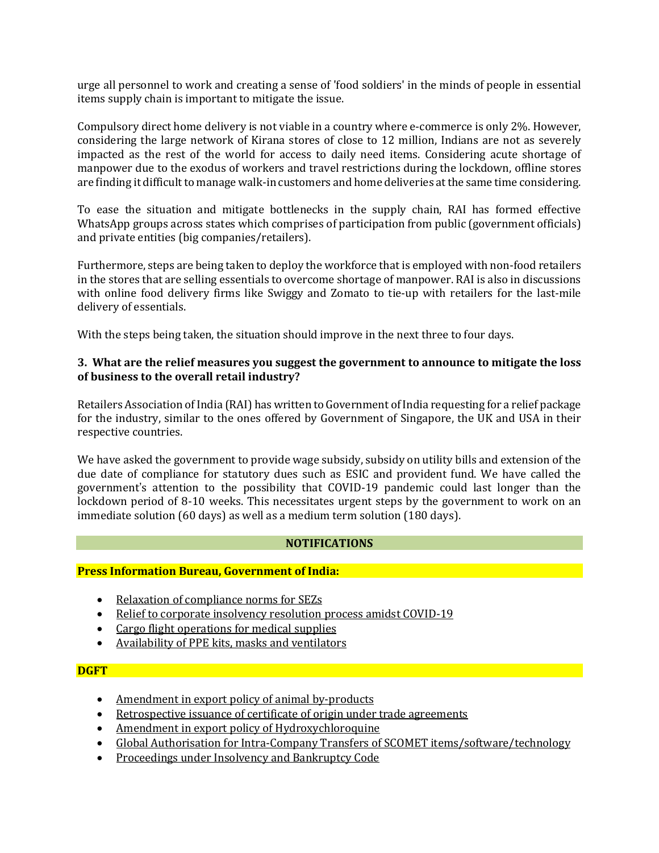urge all personnel to work and creating a sense of 'food soldiers' in the minds of people in essential items supply chain is important to mitigate the issue.

Compulsory direct home delivery is not viable in a country where e-commerce is only 2%. However, considering the large network of Kirana stores of close to 12 million, Indians are not as severely impacted as the rest of the world for access to daily need items. Considering acute shortage of manpower due to the exodus of workers and travel restrictions during the lockdown, offline stores are finding it difficult to manage walk-in customers and home deliveries at the same time considering.

To ease the situation and mitigate bottlenecks in the supply chain, RAI has formed effective WhatsApp groups across states which comprises of participation from public (government officials) and private entities (big companies/retailers).

Furthermore, steps are being taken to deploy the workforce that is employed with non-food retailers in the stores that are selling essentials to overcome shortage of manpower. RAI is also in discussions with online food delivery firms like Swiggy and Zomato to tie-up with retailers for the last-mile delivery of essentials.

With the steps being taken, the situation should improve in the next three to four days.

# **3. What are the relief measures you suggest the government to announce to mitigate the loss of business to the overall retail industry?**

Retailers Association of India (RAI) has written to Government of India requesting for a relief package for the industry, similar to the ones offered by Government of Singapore, the UK and USA in their respective countries.

We have asked the government to provide wage subsidy, subsidy on utility bills and extension of the due date of compliance for statutory dues such as ESIC and provident fund. We have called the government's attention to the possibility that COVID-19 pandemic could last longer than the lockdown period of 8-10 weeks. This necessitates urgent steps by the government to work on an immediate solution (60 days) as well as a medium term solution (180 days).

## **NOTIFICATIONS**

## **Press Information Bureau, Government of India:**

- Relaxation of [compliance](https://pib.gov.in/PressReleseDetail.aspx?PRID=1609247) norms for SEZs
- Relief to corporate [insolvency](https://pib.gov.in/PressReleseDetail.aspx?PRID=1609290) resolution process amidst COVID-19
- Cargo flight [operations](https://pib.gov.in/PressReleseDetail.aspx?PRID=1609195) for medical supplies
- [Availability](https://pib.gov.in/PressReleseDetail.aspx?PRID=1609263) of PPE kits, masks and ventilators

## **DGFT**

- [Amendment](https://dgft.gov.in/sites/default/files/Noti%2055_0.pdf) in export policy of animal by-products
- [Retrospective](https://dgft.gov.in/sites/default/files/Trade%20Notice%2059.pdf) issuance of certificate of origin under trade agreements
- Amendment in export policy of [Hydroxychloroquine](https://dgft.gov.in/sites/default/files/notification%2054_0.pdf)
- Global Authorisation for Intra-Company Transfers of SCOMET [items/software/technology](https://dgft.gov.in/sites/default/files/pn%20fiNAL%20upl_0.pdf)
- [Proceedings](https://dgft.gov.in/sites/default/files/Doc20200320133250.pdf) under Insolvency and Bankruptcy Code